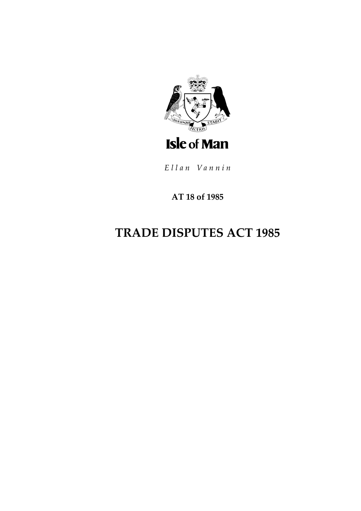

Ellan Vannin

### AT 18 of 1985

# **TRADE DISPUTES ACT 1985**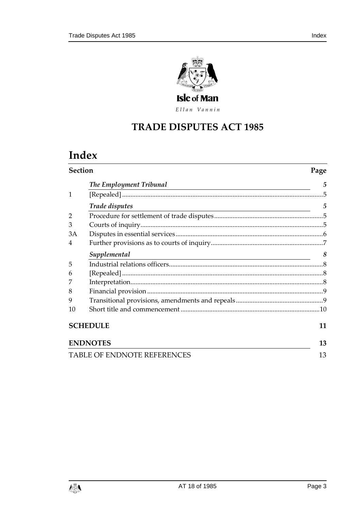

Ellan Vannin

## **TRADE DISPUTES ACT 1 985**

# **Index**

| <b>Section</b>  |                                                                                                                                                 | Page           |
|-----------------|-------------------------------------------------------------------------------------------------------------------------------------------------|----------------|
|                 | The Employment Tribunal<br><u> 1989 - Johann Stein, marwolaethau a bhann an t-Amhair an t-Amhair an t-Amhair an t-Amhair an t-Amhair an t-A</u> | 5              |
| $\mathbf{1}$    |                                                                                                                                                 | 5              |
|                 | Trade disputes                                                                                                                                  | $\overline{5}$ |
| $\overline{2}$  |                                                                                                                                                 |                |
| 3               |                                                                                                                                                 |                |
| 3A              |                                                                                                                                                 |                |
| 4               |                                                                                                                                                 |                |
|                 | Supplemental<br><u> 1989 - Johann Stein, Amerikaansk politiker (</u>                                                                            | 8              |
| 5               |                                                                                                                                                 |                |
| 6               |                                                                                                                                                 |                |
|                 |                                                                                                                                                 |                |
| 8               |                                                                                                                                                 |                |
| 9               |                                                                                                                                                 |                |
| 10              |                                                                                                                                                 |                |
| <b>SCHEDULE</b> |                                                                                                                                                 | 11             |
| <b>ENDNOTES</b> |                                                                                                                                                 |                |
|                 | <b>TABLE OF ENDNOTE REFERENCES</b>                                                                                                              | 13             |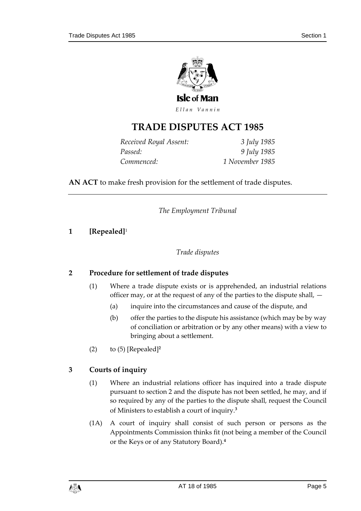

Ellan Vannin

### **TRADE DISPUTES ACT 1 985**

| Received Royal Assent: | 3 July 1985     |
|------------------------|-----------------|
| Passed:                | 9 July 1985     |
| Commenced:             | 1 November 1985 |

<span id="page-4-0"></span>**AN ACT** to make fresh provision for the settlement of trade disputes.

*The Employment Tribunal*

#### <span id="page-4-2"></span><span id="page-4-1"></span>**1 [Repealed]**<sup>1</sup>

#### *Trade disputes*

#### <span id="page-4-3"></span>**2 Procedure for settlement of trade disputes**

- (1) Where a trade dispute exists or is apprehended, an industrial relations officer may, or at the request of any of the parties to the dispute shall, —
	- (a) inquire into the circumstances and cause of the dispute, and
	- (b) offer the parties to the dispute his assistance (which may be by way of conciliation or arbitration or by any other means) with a view to bringing about a settlement.
- (2) to (5) [Repealed]**<sup>2</sup>**

#### <span id="page-4-4"></span>**3 Courts of inquiry**

- (1) Where an industrial relations officer has inquired into a trade dispute pursuant to section 2 and the dispute has not been settled, he may, and if so required by any of the parties to the dispute shall, request the Council of Ministers to establish a court of inquiry.**<sup>3</sup>**
- (1A) A court of inquiry shall consist of such person or persons as the Appointments Commission thinks fit (not being a member of the Council or the Keys or of any Statutory Board).**4**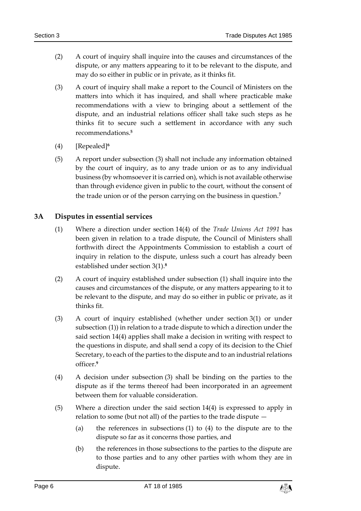- (2) A court of inquiry shall inquire into the causes and circumstances of the dispute, or any matters appearing to it to be relevant to the dispute, and may do so either in public or in private, as it thinks fit.
- (3) A court of inquiry shall make a report to the Council of Ministers on the matters into which it has inquired, and shall where practicable make recommendations with a view to bringing about a settlement of the dispute, and an industrial relations officer shall take such steps as he thinks fit to secure such a settlement in accordance with any such recommendations.**<sup>5</sup>**
- (4) [Repealed]**<sup>6</sup>**
- (5) A report under subsection (3) shall not include any information obtained by the court of inquiry, as to any trade union or as to any individual business (by whomsoever it is carried on), which is not available otherwise than through evidence given in public to the court, without the consent of the trade union or of the person carrying on the business in question.**<sup>7</sup>**

#### <span id="page-5-0"></span>**3A Disputes in essential services**

- (1) Where a direction under section 14(4) of the *Trade Unions Act 1991* has been given in relation to a trade dispute, the Council of Ministers shall forthwith direct the Appointments Commission to establish a court of inquiry in relation to the dispute, unless such a court has already been established under section 3(1).**<sup>8</sup>**
- (2) A court of inquiry established under subsection (1) shall inquire into the causes and circumstances of the dispute, or any matters appearing to it to be relevant to the dispute, and may do so either in public or private, as it thinks fit.
- (3) A court of inquiry established (whether under section 3(1) or under subsection (1)) in relation to a trade dispute to which a direction under the said section 14(4) applies shall make a decision in writing with respect to the questions in dispute, and shall send a copy of its decision to the Chief Secretary, to each of the parties to the dispute and to an industrial relations officer.**<sup>9</sup>**
- (4) A decision under subsection (3) shall be binding on the parties to the dispute as if the terms thereof had been incorporated in an agreement between them for valuable consideration.
- (5) Where a direction under the said section 14(4) is expressed to apply in relation to some (but not all) of the parties to the trade dispute —
	- (a) the references in subsections (1) to (4) to the dispute are to the dispute so far as it concerns those parties, and
	- (b) the references in those subsections to the parties to the dispute are to those parties and to any other parties with whom they are in dispute.

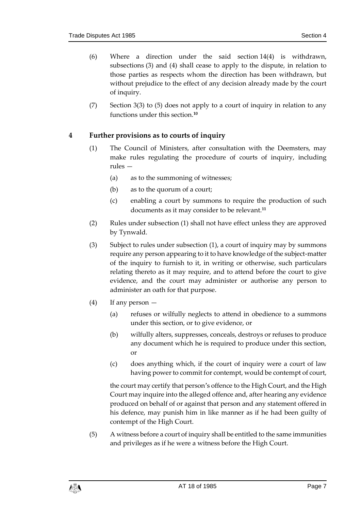- (6) Where a direction under the said section 14(4) is withdrawn, subsections (3) and (4) shall cease to apply to the dispute, in relation to those parties as respects whom the direction has been withdrawn, but without prejudice to the effect of any decision already made by the court of inquiry.
- (7) Section 3(3) to (5) does not apply to a court of inquiry in relation to any functions under this section.**<sup>10</sup>**

#### <span id="page-6-0"></span>**4 Further provisions as to courts of inquiry**

- (1) The Council of Ministers, after consultation with the Deemsters, may make rules regulating the procedure of courts of inquiry, including rules —
	- (a) as to the summoning of witnesses;
	- (b) as to the quorum of a court;
	- (c) enabling a court by summons to require the production of such documents as it may consider to be relevant.**<sup>11</sup>**
- (2) Rules under subsection (1) shall not have effect unless they are approved by Tynwald.
- (3) Subject to rules under subsection (1), a court of inquiry may by summons require any person appearing to it to have knowledge of the subject-matter of the inquiry to furnish to it, in writing or otherwise, such particulars relating thereto as it may require, and to attend before the court to give evidence, and the court may administer or authorise any person to administer an oath for that purpose.
- (4) If any person
	- (a) refuses or wilfully neglects to attend in obedience to a summons under this section, or to give evidence, or
	- (b) wilfully alters, suppresses, conceals, destroys or refuses to produce any document which he is required to produce under this section, or
	- (c) does anything which, if the court of inquiry were a court of law having power to commit for contempt, would be contempt of court,

the court may certify that person's offence to the High Court, and the High Court may inquire into the alleged offence and, after hearing any evidence produced on behalf of or against that person and any statement offered in his defence, may punish him in like manner as if he had been guilty of contempt of the High Court.

(5) A witness before a court of inquiry shall be entitled to the same immunities and privileges as if he were a witness before the High Court.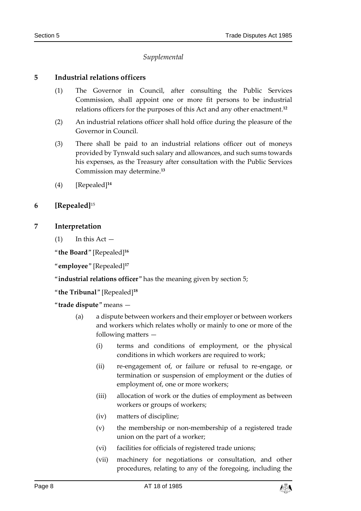#### *Supplemental*

#### <span id="page-7-1"></span><span id="page-7-0"></span>**5 Industrial relations officers**

- (1) The Governor in Council, after consulting the Public Services Commission, shall appoint one or more fit persons to be industrial relations officers for the purposes of this Act and any other enactment.**<sup>12</sup>**
- (2) An industrial relations officer shall hold office during the pleasure of the Governor in Council.
- (3) There shall be paid to an industrial relations officer out of moneys provided by Tynwald such salary and allowances, and such sums towards his expenses, as the Treasury after consultation with the Public Services Commission may determine.**<sup>13</sup>**
- (4) [Repealed]**<sup>14</sup>**

#### <span id="page-7-2"></span>**6 [Repealed]**<sup>15</sup>

#### <span id="page-7-3"></span>**7 Interpretation**

 $(1)$  In this Act  $-$ 

"**the Board**" [Repealed]**<sup>16</sup>**

"**employee**" [Repealed]**<sup>17</sup>**

"**industrial relations officer**" has the meaning given by section 5;

"**the Tribunal**" [Repealed]**<sup>18</sup>**

"**trade dispute**" means —

- (a) a dispute between workers and their employer or between workers and workers which relates wholly or mainly to one or more of the following matters —
	- (i) terms and conditions of employment, or the physical conditions in which workers are required to work;
	- (ii) re-engagement of, or failure or refusal to re-engage, or termination or suspension of employment or the duties of employment of, one or more workers;
	- (iii) allocation of work or the duties of employment as between workers or groups of workers;
	- (iv) matters of discipline;
	- (v) the membership or non-membership of a registered trade union on the part of a worker;
	- (vi) facilities for officials of registered trade unions;
	- (vii) machinery for negotiations or consultation, and other procedures, relating to any of the foregoing, including the

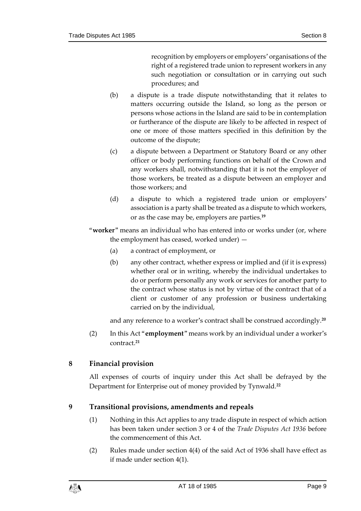recognition by employers or employers' organisations of the right of a registered trade union to represent workers in any such negotiation or consultation or in carrying out such procedures; and

- (b) a dispute is a trade dispute notwithstanding that it relates to matters occurring outside the Island, so long as the person or persons whose actions in the Island are said to be in contemplation or furtherance of the dispute are likely to be affected in respect of one or more of those matters specified in this definition by the outcome of the dispute;
- (c) a dispute between a Department or Statutory Board or any other officer or body performing functions on behalf of the Crown and any workers shall, notwithstanding that it is not the employer of those workers, be treated as a dispute between an employer and those workers; and
- (d) a dispute to which a registered trade union or employers' association is a party shall be treated as a dispute to which workers, or as the case may be, employers are parties.**<sup>19</sup>**
- "**worker**" means an individual who has entered into or works under (or, where the employment has ceased, worked under) —
	- (a) a contract of employment, or
	- (b) any other contract, whether express or implied and (if it is express) whether oral or in writing, whereby the individual undertakes to do or perform personally any work or services for another party to the contract whose status is not by virtue of the contract that of a client or customer of any profession or business undertaking carried on by the individual,

and any reference to a worker's contract shall be construed accordingly.**<sup>20</sup>**

(2) In this Act "**employment**" means work by an individual under a worker's contract.**<sup>21</sup>**

#### <span id="page-8-0"></span>**8 Financial provision**

All expenses of courts of inquiry under this Act shall be defrayed by the Department for Enterprise out of money provided by Tynwald.**<sup>22</sup>**

#### <span id="page-8-1"></span>**9 Transitional provisions, amendments and repeals**

- (1) Nothing in this Act applies to any trade dispute in respect of which action has been taken under section 3 or 4 of the *Trade Disputes Act 1936* before the commencement of this Act.
- (2) Rules made under section 4(4) of the said Act of 1936 shall have effect as if made under section 4(1).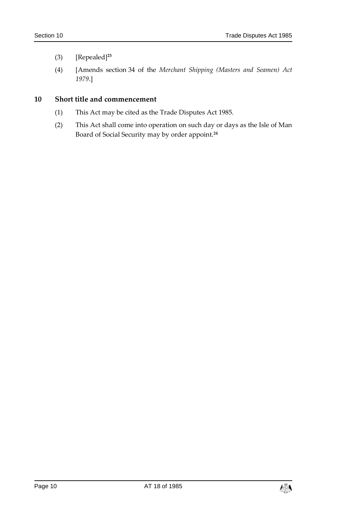- (3) [Repealed]**<sup>23</sup>**
- (4) [Amends section 34 of the *Merchant Shipping (Masters and Seamen) Act 1979*.]

#### <span id="page-9-0"></span>**10 Short title and commencement**

- (1) This Act may be cited as the Trade Disputes Act 1985.
- (2) This Act shall come into operation on such day or days as the Isle of Man Board of Social Security may by order appoint.**24**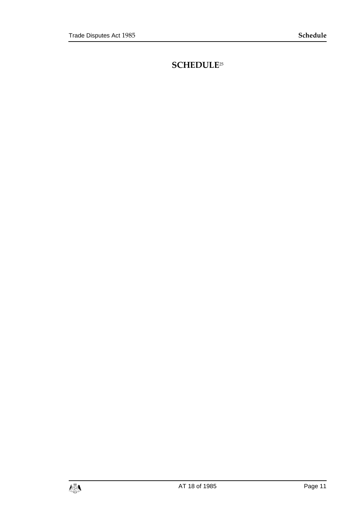### <span id="page-10-0"></span>**SCHEDULE**25